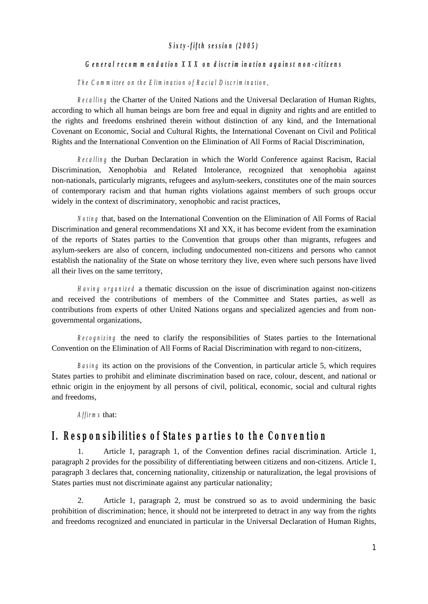### *S ixty-fifth session (2005)*

#### General recommendation XXX on discrimination against non-citizens

*T he C om m ittee on the E lim ination of R acial D iscrim ination,*

*R ecalling* the Charter of the United Nations and the Universal Declaration of Human Rights, according to which all human beings are born free and equal in dignity and rights and are entitled to the rights and freedoms enshrined therein without distinction of any kind, and the International Covenant on Economic, Social and Cultural Rights, the International Covenant on Civil and Political Rights and the International Convention on the Elimination of All Forms of Racial Discrimination,

*R ecalling* the Durban Declaration in which the World Conference against Racism, Racial Discrimination, Xenophobia and Related Intolerance, recognized that xenophobia against non-nationals, particularly migrants, refugees and asylum-seekers, constitutes one of the main sources of contemporary racism and that human rights violations against members of such groups occur widely in the context of discriminatory, xenophobic and racist practices,

*N oting* that, based on the International Convention on the Elimination of All Forms of Racial Discrimination and general recommendations XI and XX, it has become evident from the examination of the reports of States parties to the Convention that groups other than migrants, refugees and asylum-seekers are also of concern, including undocumented non-citizens and persons who cannot establish the nationality of the State on whose territory they live, even where such persons have lived all their lives on the same territory,

*H aving organized* a thematic discussion on the issue of discrimination against non-citizens and received the contributions of members of the Committee and States parties, as well as contributions from experts of other United Nations organs and specialized agencies and from nongovernmental organizations,

*R ecognizing* the need to clarify the responsibilities of States parties to the International Convention on the Elimination of All Forms of Racial Discrimination with regard to non-citizens,

*Basing* its action on the provisions of the Convention, in particular article 5, which requires States parties to prohibit and eliminate discrimination based on race, colour, descent, and national or ethnic origin in the enjoyment by all persons of civil, political, economic, social and cultural rights and freedoms,

*A ffirm s* that:

## *I.ResponsibilitiesofStatespartiesto the Convention*

1. Article 1, paragraph 1, of the Convention defines racial discrimination. Article 1, paragraph 2 provides for the possibility of differentiating between citizens and non-citizens. Article 1, paragraph 3 declares that, concerning nationality, citizenship or naturalization, the legal provisions of States parties must not discriminate against any particular nationality;

2. Article 1, paragraph 2, must be construed so as to avoid undermining the basic prohibition of discrimination; hence, it should not be interpreted to detract in any way from the rights and freedoms recognized and enunciated in particular in the Universal Declaration of Human Rights,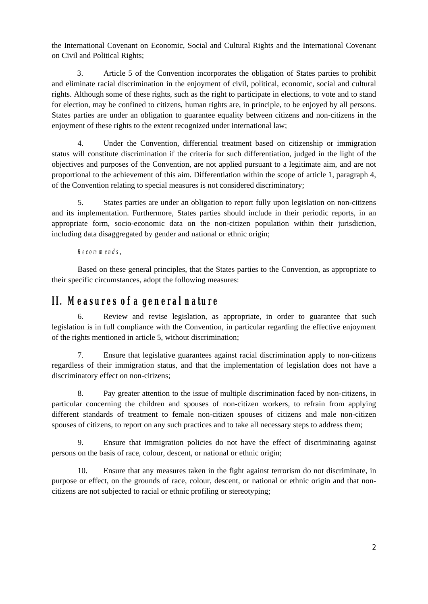the International Covenant on Economic, Social and Cultural Rights and the International Covenant on Civil and Political Rights;

3. Article 5 of the Convention incorporates the obligation of States parties to prohibit and eliminate racial discrimination in the enjoyment of civil, political, economic, social and cultural rights. Although some of these rights, such as the right to participate in elections, to vote and to stand for election, may be confined to citizens, human rights are, in principle, to be enjoyed by all persons. States parties are under an obligation to guarantee equality between citizens and non-citizens in the enjoyment of these rights to the extent recognized under international law;

4. Under the Convention, differential treatment based on citizenship or immigration status will constitute discrimination if the criteria for such differentiation, judged in the light of the objectives and purposes of the Convention, are not applied pursuant to a legitimate aim, and are not proportional to the achievement of this aim. Differentiation within the scope of article 1, paragraph 4, of the Convention relating to special measures is not considered discriminatory;

5. States parties are under an obligation to report fully upon legislation on non-citizens and its implementation. Furthermore, States parties should include in their periodic reports, in an appropriate form, socio-economic data on the non-citizen population within their jurisdiction, including data disaggregated by gender and national or ethnic origin;

### *R ecom m ends*,

Based on these general principles, that the States parties to the Convention, as appropriate to their specific circumstances, adopt the following measures:

## *II.M easuresofa generalnature*

6. Review and revise legislation, as appropriate, in order to guarantee that such legislation is in full compliance with the Convention, in particular regarding the effective enjoyment of the rights mentioned in article 5, without discrimination;

7. Ensure that legislative guarantees against racial discrimination apply to non-citizens regardless of their immigration status, and that the implementation of legislation does not have a discriminatory effect on non-citizens;

8. Pay greater attention to the issue of multiple discrimination faced by non-citizens, in particular concerning the children and spouses of non-citizen workers, to refrain from applying different standards of treatment to female non-citizen spouses of citizens and male non-citizen spouses of citizens, to report on any such practices and to take all necessary steps to address them;

9. Ensure that immigration policies do not have the effect of discriminating against persons on the basis of race, colour, descent, or national or ethnic origin;

10. Ensure that any measures taken in the fight against terrorism do not discriminate, in purpose or effect, on the grounds of race, colour, descent, or national or ethnic origin and that noncitizens are not subjected to racial or ethnic profiling or stereotyping;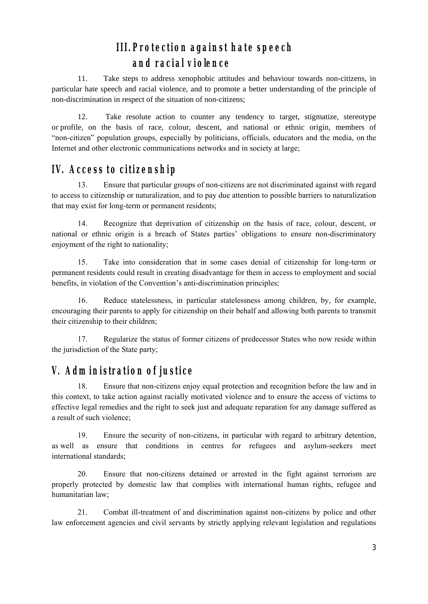# *III.Protection againsthate speech and racialviolence*

11. Take steps to address xenophobic attitudes and behaviour towards non-citizens, in particular hate speech and racial violence, and to promote a better understanding of the principle of non-discrimination in respect of the situation of non-citizens;

12. Take resolute action to counter any tendency to target, stigmatize, stereotype or profile, on the basis of race, colour, descent, and national or ethnic origin, members of "non-citizen" population groups, especially by politicians, officials, educators and the media, on the Internet and other electronic communications networks and in society at large;

# *IV.Accessto citizenship*

13. Ensure that particular groups of non-citizens are not discriminated against with regard to access to citizenship or naturalization, and to pay due attention to possible barriers to naturalization that may exist for long-term or permanent residents;

national or ethnic origin is a breach of States parties' obligations to ensure non-discriminatory 14. Recognize that deprivation of citizenship on the basis of race, colour, descent, or enjoyment of the right to nationality;

15. Take into consideration that in some cases denial of citizenship for long-term or permanent residents could result in creating disadvantage for them in access to employment and social benefits, in violation of the Convention's anti-discrimination principles;

16. Reduce statelessness, in particular statelessness among children, by, for example, encouraging their parents to apply for citizenship on their behalf and allowing both parents to transmit their citizenship to their children;

17. Regularize the status of former citizens of predecessor States who now reside within the jurisdiction of the State party;

# *V.Adm inistration ofjustice*

18. Ensure that non-citizens enjoy equal protection and recognition before the law and in this context, to take action against racially motivated violence and to ensure the access of victims to effective legal remedies and the right to seek just and adequate reparation for any damage suffered as a result of such violence;

19. Ensure the security of non-citizens, in particular with regard to arbitrary detention, as well as ensure that conditions in centres for refugees and asylum-seekers meet international standards;

20. Ensure that non-citizens detained or arrested in the fight against terrorism are properly protected by domestic law that complies with international human rights, refugee and humanitarian law;

21. Combat ill-treatment of and discrimination against non-citizens by police and other law enforcement agencies and civil servants by strictly applying relevant legislation and regulations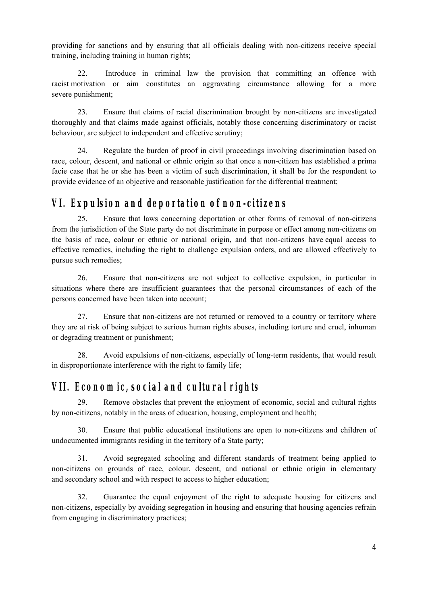providing for sanctions and by ensuring that all officials dealing with non-citizens receive special training, including training in human rights;

22. Introduce in criminal law the provision that committing an offence with racist motivation or aim constitutes an aggravating circumstance allowing for a more severe punishment;

23. Ensure that claims of racial discrimination brought by non-citizens are investigated thoroughly and that claims made against officials, notably those concerning discriminatory or racist behaviour, are subject to independent and effective scrutiny;

24. Regulate the burden of proof in civil proceedings involving discrimination based on race, colour, descent, and national or ethnic origin so that once a non-citizen has established a prima facie case that he or she has been a victim of such discrimination, it shall be for the respondent to provide evidence of an objective and reasonable justification for the differential treatment;

# *VI.Expulsion and deportation ofnon-citizens*

25. Ensure that laws concerning deportation or other forms of removal of non-citizens from the jurisdiction of the State party do not discriminate in purpose or effect among non-citizens on the basis of race, colour or ethnic or national origin, and that non-citizens have equal access to effective remedies, including the right to challenge expulsion orders, and are allowed effectively to pursue such remedies;

26. Ensure that non-citizens are not subject to collective expulsion, in particular in situations where there are insufficient guarantees that the personal circumstances of each of the persons concerned have been taken into account;

27. Ensure that non-citizens are not returned or removed to a country or territory where they are at risk of being subject to serious human rights abuses, including torture and cruel, inhuman or degrading treatment or punishment;

28. Avoid expulsions of non-citizens, especially of long-term residents, that would result in disproportionate interference with the right to family life;

# *VII.Econom ic,socialand culturalrights*

29. Remove obstacles that prevent the enjoyment of economic, social and cultural rights by non-citizens, notably in the areas of education, housing, employment and health;

30. Ensure that public educational institutions are open to non-citizens and children of undocumented immigrants residing in the territory of a State party;

31. Avoid segregated schooling and different standards of treatment being applied to non-citizens on grounds of race, colour, descent, and national or ethnic origin in elementary and secondary school and with respect to access to higher education;

32. Guarantee the equal enjoyment of the right to adequate housing for citizens and non-citizens, especially by avoiding segregation in housing and ensuring that housing agencies refrain from engaging in discriminatory practices;